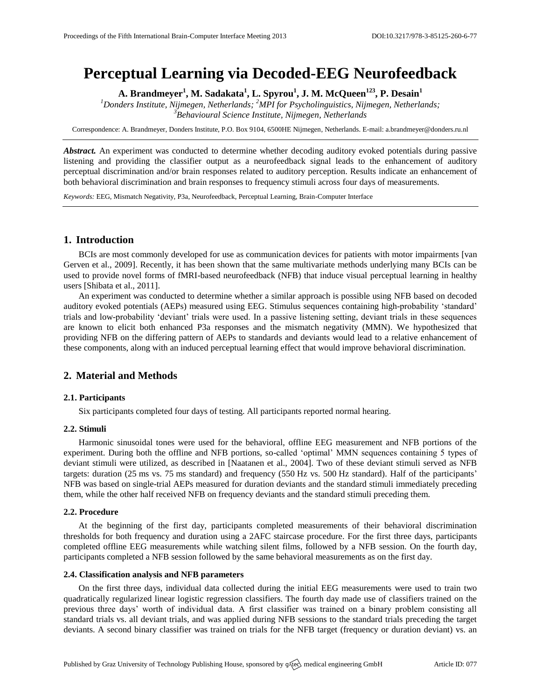# **Perceptual Learning via Decoded-EEG Neurofeedback**

**A. Brandmeyer<sup>1</sup> , M. Sadakata<sup>1</sup> , L. Spyrou<sup>1</sup> , J. M. McQueen<sup>123</sup> , P. Desain<sup>1</sup>**

*<sup>1</sup>Donders Institute, Nijmegen, Netherlands; <sup>2</sup>MPI for Psycholinguistics, Nijmegen, Netherlands; <sup>3</sup>Behavioural Science Institute, Nijmegen, Netherlands*

Correspondence: A. Brandmeyer, Donders Institute, P.O. Box 9104, 6500HE Nijmegen, Netherlands. E-mail[: a.brandmeyer@donders.ru.nl](mailto:a.brandmeyer@donders.ru.nl)

*Abstract.* An experiment was conducted to determine whether decoding auditory evoked potentials during passive listening and providing the classifier output as a neurofeedback signal leads to the enhancement of auditory perceptual discrimination and/or brain responses related to auditory perception. Results indicate an enhancement of both behavioral discrimination and brain responses to frequency stimuli across four days of measurements.

*Keywords:* EEG, Mismatch Negativity, P3a, Neurofeedback, Perceptual Learning, Brain-Computer Interface

# **1. Introduction**

BCIs are most commonly developed for use as communication devices for patients with motor impairments [van Gerven et al., 2009]. Recently, it has been shown that the same multivariate methods underlying many BCIs can be used to provide novel forms of fMRI-based neurofeedback (NFB) that induce visual perceptual learning in healthy users [Shibata et al., 2011].

An experiment was conducted to determine whether a similar approach is possible using NFB based on decoded auditory evoked potentials (AEPs) measured using EEG. Stimulus sequences containing high-probability 'standard' trials and low-probability 'deviant' trials were used. In a passive listening setting, deviant trials in these sequences are known to elicit both enhanced P3a responses and the mismatch negativity (MMN). We hypothesized that providing NFB on the differing pattern of AEPs to standards and deviants would lead to a relative enhancement of these components, along with an induced perceptual learning effect that would improve behavioral discrimination.

# **2. Material and Methods**

## **2.1. Participants**

Six participants completed four days of testing. All participants reported normal hearing.

## **2.2. Stimuli**

Harmonic sinusoidal tones were used for the behavioral, offline EEG measurement and NFB portions of the experiment. During both the offline and NFB portions, so-called 'optimal' MMN sequences containing 5 types of deviant stimuli were utilized, as described in [Naatanen et al., 2004]. Two of these deviant stimuli served as NFB targets: duration (25 ms vs. 75 ms standard) and frequency (550 Hz vs. 500 Hz standard). Half of the participants' NFB was based on single-trial AEPs measured for duration deviants and the standard stimuli immediately preceding them, while the other half received NFB on frequency deviants and the standard stimuli preceding them.

## **2.2. Procedure**

At the beginning of the first day, participants completed measurements of their behavioral discrimination thresholds for both frequency and duration using a 2AFC staircase procedure. For the first three days, participants completed offline EEG measurements while watching silent films, followed by a NFB session. On the fourth day, participants completed a NFB session followed by the same behavioral measurements as on the first day.

## **2.4. Classification analysis and NFB parameters**

On the first three days, individual data collected during the initial EEG measurements were used to train two quadratically regularized linear logistic regression classifiers. The fourth day made use of classifiers trained on the previous three days' worth of individual data. A first classifier was trained on a binary problem consisting all standard trials vs. all deviant trials, and was applied during NFB sessions to the standard trials preceding the target deviants. A second binary classifier was trained on trials for the NFB target (frequency or duration deviant) vs. an